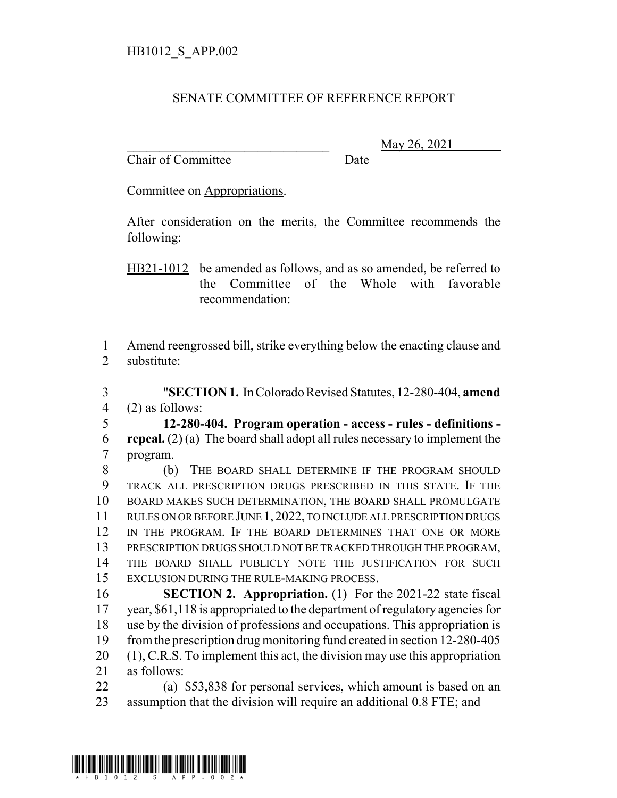## SENATE COMMITTEE OF REFERENCE REPORT

Chair of Committee Date

\_\_\_\_\_\_\_\_\_\_\_\_\_\_\_\_\_\_\_\_\_\_\_\_\_\_\_\_\_\_\_ May 26, 2021

Committee on Appropriations.

After consideration on the merits, the Committee recommends the following:

HB21-1012 be amended as follows, and as so amended, be referred to the Committee of the Whole with favorable recommendation:

 Amend reengrossed bill, strike everything below the enacting clause and substitute:

 "**SECTION 1.** In Colorado Revised Statutes, 12-280-404, **amend** (2) as follows:

 **12-280-404. Program operation - access - rules - definitions - repeal.** (2) (a) The board shall adopt all rules necessary to implement the program.

 (b) THE BOARD SHALL DETERMINE IF THE PROGRAM SHOULD TRACK ALL PRESCRIPTION DRUGS PRESCRIBED IN THIS STATE. IF THE BOARD MAKES SUCH DETERMINATION, THE BOARD SHALL PROMULGATE RULES ON OR BEFORE JUNE 1, 2022, TO INCLUDE ALL PRESCRIPTION DRUGS IN THE PROGRAM. IF THE BOARD DETERMINES THAT ONE OR MORE PRESCRIPTION DRUGS SHOULD NOT BE TRACKED THROUGH THE PROGRAM, THE BOARD SHALL PUBLICLY NOTE THE JUSTIFICATION FOR SUCH EXCLUSION DURING THE RULE-MAKING PROCESS.

 **SECTION 2. Appropriation.** (1) For the 2021-22 state fiscal year, \$61,118 is appropriated to the department of regulatory agencies for use by the division of professions and occupations. This appropriation is from the prescription drug monitoring fund created in section 12-280-405 (1), C.R.S. To implement this act, the division may use this appropriation as follows:

 (a) \$53,838 for personal services, which amount is based on an assumption that the division will require an additional 0.8 FTE; and